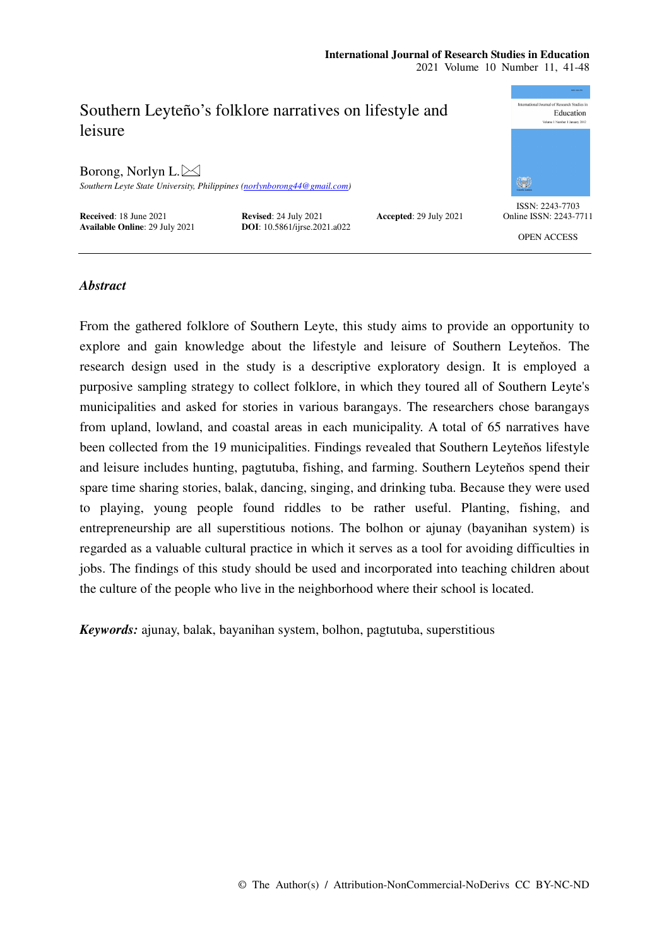#### **International Journal of Research Studies in Education**  2021 Volume 10 Number 11, 41-48



# *Abstract*

From the gathered folklore of Southern Leyte, this study aims to provide an opportunity to explore and gain knowledge about the lifestyle and leisure of Southern Leyteňos. The research design used in the study is a descriptive exploratory design. It is employed a purposive sampling strategy to collect folklore, in which they toured all of Southern Leyte's municipalities and asked for stories in various barangays. The researchers chose barangays from upland, lowland, and coastal areas in each municipality. A total of 65 narratives have been collected from the 19 municipalities. Findings revealed that Southern Leyteňos lifestyle and leisure includes hunting, pagtutuba, fishing, and farming. Southern Leyteňos spend their spare time sharing stories, balak, dancing, singing, and drinking tuba. Because they were used to playing, young people found riddles to be rather useful. Planting, fishing, and entrepreneurship are all superstitious notions. The bolhon or ajunay (bayanihan system) is regarded as a valuable cultural practice in which it serves as a tool for avoiding difficulties in jobs. The findings of this study should be used and incorporated into teaching children about the culture of the people who live in the neighborhood where their school is located.

*Keywords:* ajunay, balak, bayanihan system, bolhon, pagtutuba, superstitious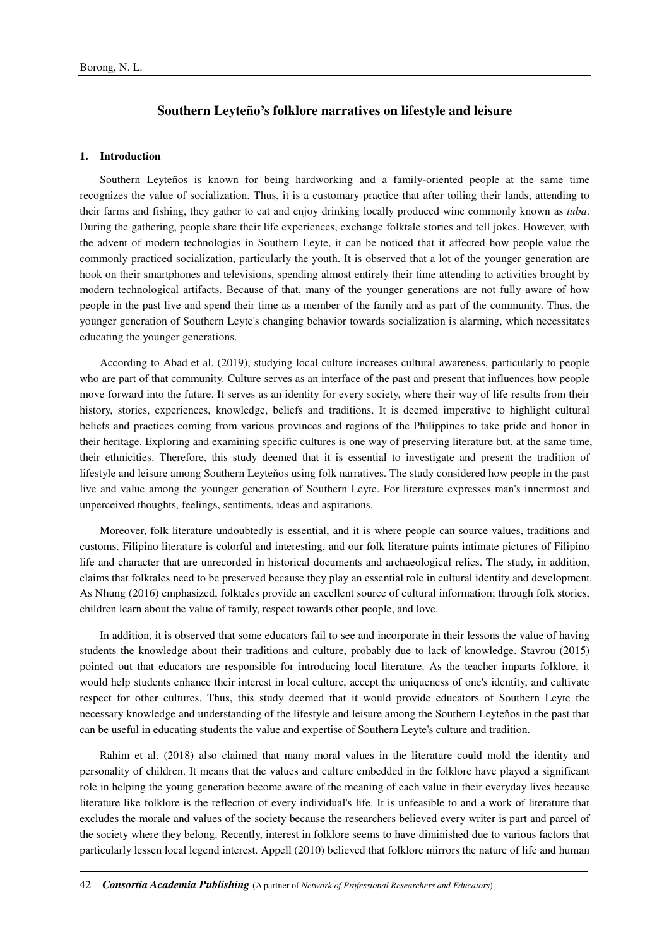# **Southern Leyteño's folklore narratives on lifestyle and leisure**

## **1. Introduction**

Southern Leyteños is known for being hardworking and a family-oriented people at the same time recognizes the value of socialization. Thus, it is a customary practice that after toiling their lands, attending to their farms and fishing, they gather to eat and enjoy drinking locally produced wine commonly known as *tuba*. During the gathering, people share their life experiences, exchange folktale stories and tell jokes. However, with the advent of modern technologies in Southern Leyte, it can be noticed that it affected how people value the commonly practiced socialization, particularly the youth. It is observed that a lot of the younger generation are hook on their smartphones and televisions, spending almost entirely their time attending to activities brought by modern technological artifacts. Because of that, many of the younger generations are not fully aware of how people in the past live and spend their time as a member of the family and as part of the community. Thus, the younger generation of Southern Leyte's changing behavior towards socialization is alarming, which necessitates educating the younger generations.

According to Abad et al. (2019), studying local culture increases cultural awareness, particularly to people who are part of that community. Culture serves as an interface of the past and present that influences how people move forward into the future. It serves as an identity for every society, where their way of life results from their history, stories, experiences, knowledge, beliefs and traditions. It is deemed imperative to highlight cultural beliefs and practices coming from various provinces and regions of the Philippines to take pride and honor in their heritage. Exploring and examining specific cultures is one way of preserving literature but, at the same time, their ethnicities. Therefore, this study deemed that it is essential to investigate and present the tradition of lifestyle and leisure among Southern Leyteňos using folk narratives. The study considered how people in the past live and value among the younger generation of Southern Leyte. For literature expresses man's innermost and unperceived thoughts, feelings, sentiments, ideas and aspirations.

Moreover, folk literature undoubtedly is essential, and it is where people can source values, traditions and customs. Filipino literature is colorful and interesting, and our folk literature paints intimate pictures of Filipino life and character that are unrecorded in historical documents and archaeological relics. The study, in addition, claims that folktales need to be preserved because they play an essential role in cultural identity and development. As Nhung (2016) emphasized, folktales provide an excellent source of cultural information; through folk stories, children learn about the value of family, respect towards other people, and love.

In addition, it is observed that some educators fail to see and incorporate in their lessons the value of having students the knowledge about their traditions and culture, probably due to lack of knowledge. Stavrou (2015) pointed out that educators are responsible for introducing local literature. As the teacher imparts folklore, it would help students enhance their interest in local culture, accept the uniqueness of one's identity, and cultivate respect for other cultures. Thus, this study deemed that it would provide educators of Southern Leyte the necessary knowledge and understanding of the lifestyle and leisure among the Southern Leyteňos in the past that can be useful in educating students the value and expertise of Southern Leyte's culture and tradition.

Rahim et al. (2018) also claimed that many moral values in the literature could mold the identity and personality of children. It means that the values and culture embedded in the folklore have played a significant role in helping the young generation become aware of the meaning of each value in their everyday lives because literature like folklore is the reflection of every individual's life. It is unfeasible to and a work of literature that excludes the morale and values of the society because the researchers believed every writer is part and parcel of the society where they belong. Recently, interest in folklore seems to have diminished due to various factors that particularly lessen local legend interest. Appell (2010) believed that folklore mirrors the nature of life and human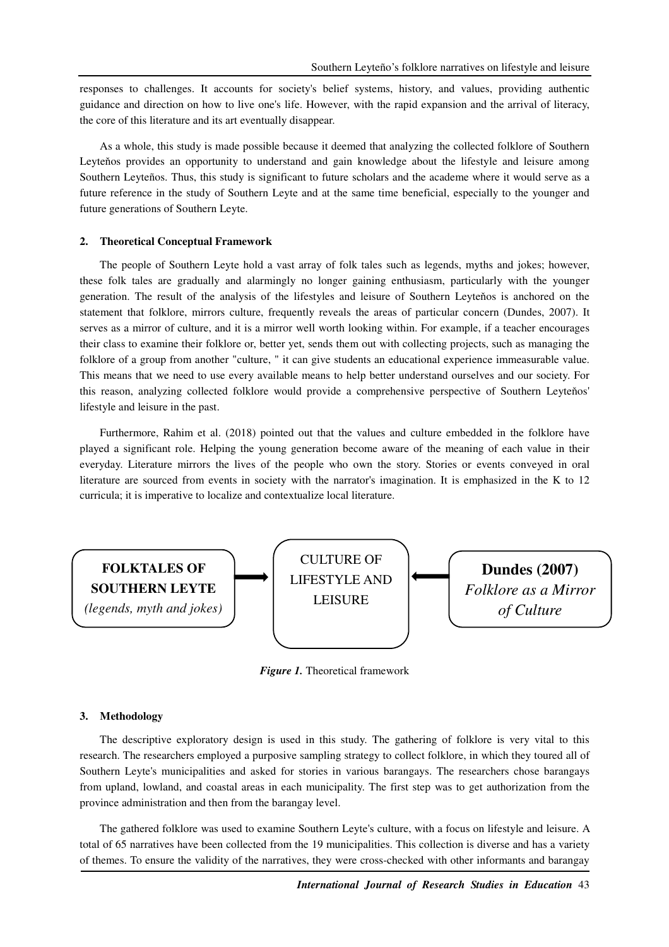responses to challenges. It accounts for society's belief systems, history, and values, providing authentic guidance and direction on how to live one's life. However, with the rapid expansion and the arrival of literacy, the core of this literature and its art eventually disappear.

As a whole, this study is made possible because it deemed that analyzing the collected folklore of Southern Leyteňos provides an opportunity to understand and gain knowledge about the lifestyle and leisure among Southern Leyteños. Thus, this study is significant to future scholars and the academe where it would serve as a future reference in the study of Southern Leyte and at the same time beneficial, especially to the younger and future generations of Southern Leyte.

## **2. Theoretical Conceptual Framework**

The people of Southern Leyte hold a vast array of folk tales such as legends, myths and jokes; however, these folk tales are gradually and alarmingly no longer gaining enthusiasm, particularly with the younger generation. The result of the analysis of the lifestyles and leisure of Southern Leyteňos is anchored on the statement that folklore, mirrors culture, frequently reveals the areas of particular concern (Dundes, 2007). It serves as a mirror of culture, and it is a mirror well worth looking within. For example, if a teacher encourages their class to examine their folklore or, better yet, sends them out with collecting projects, such as managing the folklore of a group from another "culture, " it can give students an educational experience immeasurable value. This means that we need to use every available means to help better understand ourselves and our society. For this reason, analyzing collected folklore would provide a comprehensive perspective of Southern Leyteňos' lifestyle and leisure in the past.

Furthermore, Rahim et al. (2018) pointed out that the values and culture embedded in the folklore have played a significant role. Helping the young generation become aware of the meaning of each value in their everyday. Literature mirrors the lives of the people who own the story. Stories or events conveyed in oral literature are sourced from events in society with the narrator's imagination. It is emphasized in the K to 12 curricula; it is imperative to localize and contextualize local literature.



*Figure 1.* Theoretical framework

## **3. Methodology**

The descriptive exploratory design is used in this study. The gathering of folklore is very vital to this research. The researchers employed a purposive sampling strategy to collect folklore, in which they toured all of Southern Leyte's municipalities and asked for stories in various barangays. The researchers chose barangays from upland, lowland, and coastal areas in each municipality. The first step was to get authorization from the province administration and then from the barangay level.

The gathered folklore was used to examine Southern Leyte's culture, with a focus on lifestyle and leisure. A total of 65 narratives have been collected from the 19 municipalities. This collection is diverse and has a variety of themes. To ensure the validity of the narratives, they were cross-checked with other informants and barangay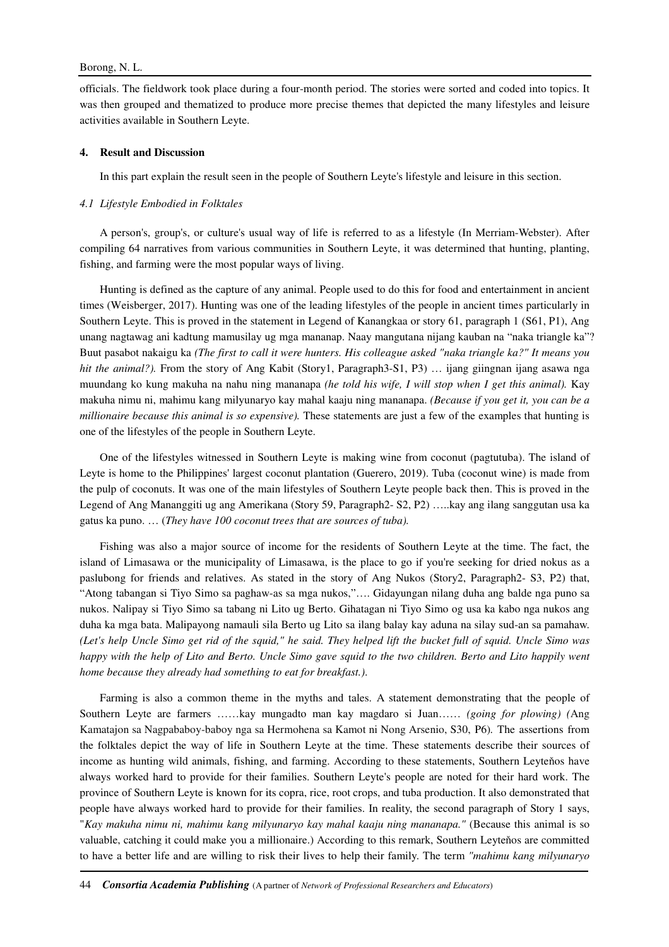## Borong, N. L.

officials. The fieldwork took place during a four-month period. The stories were sorted and coded into topics. It was then grouped and thematized to produce more precise themes that depicted the many lifestyles and leisure activities available in Southern Leyte.

## **4. Result and Discussion**

In this part explain the result seen in the people of Southern Leyte's lifestyle and leisure in this section.

### *4.1 Lifestyle Embodied in Folktales*

A person's, group's, or culture's usual way of life is referred to as a lifestyle (In Merriam-Webster). After compiling 64 narratives from various communities in Southern Leyte, it was determined that hunting, planting, fishing, and farming were the most popular ways of living.

Hunting is defined as the capture of any animal. People used to do this for food and entertainment in ancient times (Weisberger, 2017). Hunting was one of the leading lifestyles of the people in ancient times particularly in Southern Leyte. This is proved in the statement in Legend of Kanangkaa or story 61, paragraph 1 (S61, P1), Ang unang nagtawag ani kadtung mamusilay ug mga mananap. Naay mangutana nijang kauban na "naka triangle ka"? Buut pasabot nakaigu ka *(The first to call it were hunters. His colleague asked "naka triangle ka?" It means you hit the animal?).* From the story of Ang Kabit (Story1, Paragraph3-S1, P3) ... ijang giingnan ijang asawa nga muundang ko kung makuha na nahu ning mananapa *(he told his wife, I will stop when I get this animal).* Kay makuha nimu ni, mahimu kang milyunaryo kay mahal kaaju ning mananapa. *(Because if you get it, you can be a millionaire because this animal is so expensive).* These statements are just a few of the examples that hunting is one of the lifestyles of the people in Southern Leyte.

One of the lifestyles witnessed in Southern Leyte is making wine from coconut (pagtutuba). The island of Leyte is home to the Philippines' largest coconut plantation (Guerero, 2019). Tuba (coconut wine) is made from the pulp of coconuts. It was one of the main lifestyles of Southern Leyte people back then. This is proved in the Legend of Ang Mananggiti ug ang Amerikana (Story 59, Paragraph2- S2, P2) …..kay ang ilang sanggutan usa ka gatus ka puno. … (*They have 100 coconut trees that are sources of tuba).* 

Fishing was also a major source of income for the residents of Southern Leyte at the time. The fact, the island of Limasawa or the municipality of Limasawa, is the place to go if you're seeking for dried nokus as a paslubong for friends and relatives. As stated in the story of Ang Nukos (Story2, Paragraph2- S3, P2) that, "Atong tabangan si Tiyo Simo sa paghaw-as sa mga nukos,"…. Gidayungan nilang duha ang balde nga puno sa nukos. Nalipay si Tiyo Simo sa tabang ni Lito ug Berto. Gihatagan ni Tiyo Simo og usa ka kabo nga nukos ang duha ka mga bata. Malipayong namauli sila Berto ug Lito sa ilang balay kay aduna na silay sud-an sa pamahaw. *(Let's help Uncle Simo get rid of the squid," he said. They helped lift the bucket full of squid. Uncle Simo was happy with the help of Lito and Berto. Uncle Simo gave squid to the two children. Berto and Lito happily went home because they already had something to eat for breakfast.)*.

Farming is also a common theme in the myths and tales. A statement demonstrating that the people of Southern Leyte are farmers ……kay mungadto man kay magdaro si Juan…… *(going for plowing) (*Ang Kamatajon sa Nagpababoy-baboy nga sa Hermohena sa Kamot ni Nong Arsenio, S30, P6)*.* The assertions from the folktales depict the way of life in Southern Leyte at the time. These statements describe their sources of income as hunting wild animals, fishing, and farming. According to these statements, Southern Leyteňos have always worked hard to provide for their families. Southern Leyte's people are noted for their hard work. The province of Southern Leyte is known for its copra, rice, root crops, and tuba production. It also demonstrated that people have always worked hard to provide for their families. In reality, the second paragraph of Story 1 says, "*Kay makuha nimu ni, mahimu kang milyunaryo kay mahal kaaju ning mananapa."* (Because this animal is so valuable, catching it could make you a millionaire.) According to this remark, Southern Leyteňos are committed to have a better life and are willing to risk their lives to help their family. The term *"mahimu kang milyunaryo*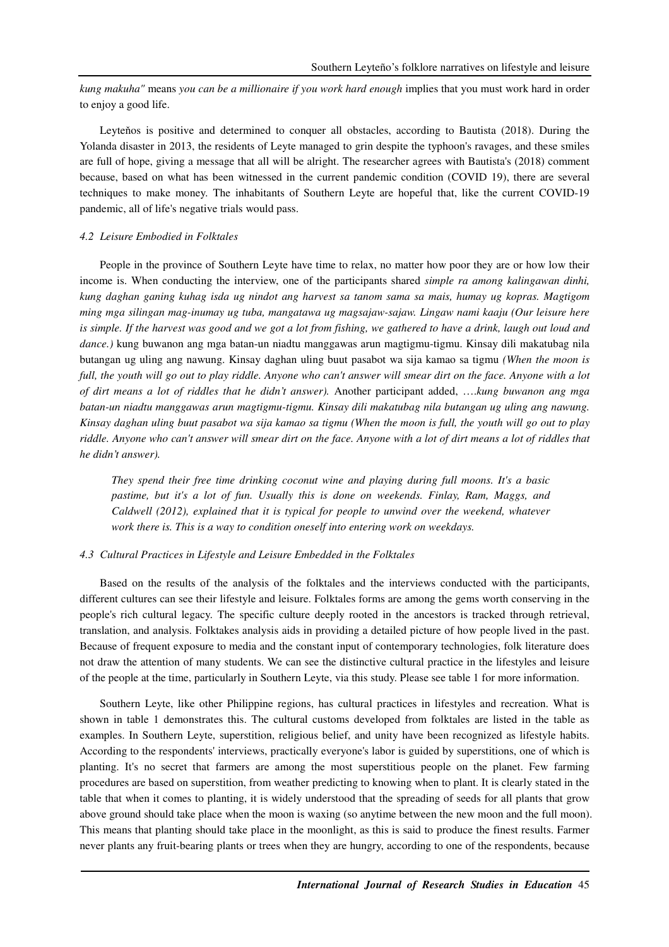*kung makuha"* means *you can be a millionaire if you work hard enough* implies that you must work hard in order to enjoy a good life.

Leyteňos is positive and determined to conquer all obstacles, according to Bautista (2018). During the Yolanda disaster in 2013, the residents of Leyte managed to grin despite the typhoon's ravages, and these smiles are full of hope, giving a message that all will be alright. The researcher agrees with Bautista's (2018) comment because, based on what has been witnessed in the current pandemic condition (COVID 19), there are several techniques to make money. The inhabitants of Southern Leyte are hopeful that, like the current COVID-19 pandemic, all of life's negative trials would pass.

## *4.2 Leisure Embodied in Folktales*

People in the province of Southern Leyte have time to relax, no matter how poor they are or how low their income is. When conducting the interview, one of the participants shared *simple ra among kalingawan dinhi, kung daghan ganing kuhag isda ug nindot ang harvest sa tanom sama sa mais, humay ug kopras. Magtigom ming mga silingan mag-inumay ug tuba, mangatawa ug magsajaw-sajaw. Lingaw nami kaaju (Our leisure here* is simple. If the harvest was good and we got a lot from fishing, we gathered to have a drink, laugh out loud and *dance.)* kung buwanon ang mga batan-un niadtu manggawas arun magtigmu-tigmu. Kinsay dili makatubag nila butangan ug uling ang nawung. Kinsay daghan uling buut pasabot wa sija kamao sa tigmu *(When the moon is full, the youth will go out to play riddle. Anyone who can't answer will smear dirt on the face. Anyone with a lot of dirt means a lot of riddles that he didn't answer).* Another participant added, ….*kung buwanon ang mga batan-un niadtu manggawas arun magtigmu-tigmu. Kinsay dili makatubag nila butangan ug uling ang nawung. Kinsay daghan uling buut pasabot wa sija kamao sa tigmu (When the moon is full, the youth will go out to play riddle. Anyone who can't answer will smear dirt on the face. Anyone with a lot of dirt means a lot of riddles that he didn't answer).* 

*They spend their free time drinking coconut wine and playing during full moons. It's a basic pastime, but it's a lot of fun. Usually this is done on weekends. Finlay, Ram, Maggs, and Caldwell (2012), explained that it is typical for people to unwind over the weekend, whatever work there is. This is a way to condition oneself into entering work on weekdays.* 

#### *4.3 Cultural Practices in Lifestyle and Leisure Embedded in the Folktales*

Based on the results of the analysis of the folktales and the interviews conducted with the participants, different cultures can see their lifestyle and leisure. Folktales forms are among the gems worth conserving in the people's rich cultural legacy. The specific culture deeply rooted in the ancestors is tracked through retrieval, translation, and analysis. Folktakes analysis aids in providing a detailed picture of how people lived in the past. Because of frequent exposure to media and the constant input of contemporary technologies, folk literature does not draw the attention of many students. We can see the distinctive cultural practice in the lifestyles and leisure of the people at the time, particularly in Southern Leyte, via this study. Please see table 1 for more information.

Southern Leyte, like other Philippine regions, has cultural practices in lifestyles and recreation. What is shown in table 1 demonstrates this. The cultural customs developed from folktales are listed in the table as examples. In Southern Leyte, superstition, religious belief, and unity have been recognized as lifestyle habits. According to the respondents' interviews, practically everyone's labor is guided by superstitions, one of which is planting. It's no secret that farmers are among the most superstitious people on the planet. Few farming procedures are based on superstition, from weather predicting to knowing when to plant. It is clearly stated in the table that when it comes to planting, it is widely understood that the spreading of seeds for all plants that grow above ground should take place when the moon is waxing (so anytime between the new moon and the full moon). This means that planting should take place in the moonlight, as this is said to produce the finest results. Farmer never plants any fruit-bearing plants or trees when they are hungry, according to one of the respondents, because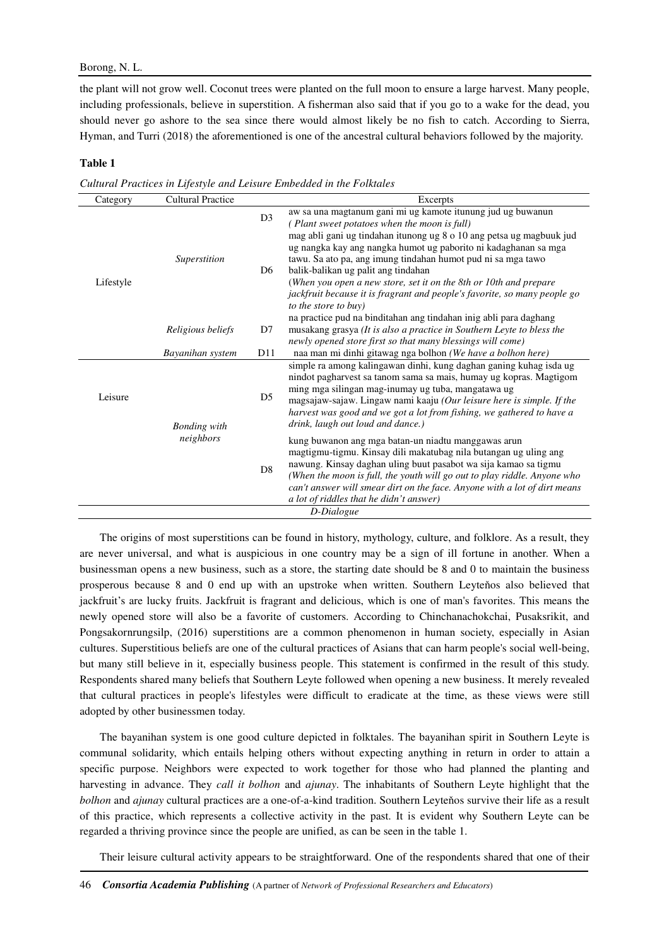## Borong, N. L.

the plant will not grow well. Coconut trees were planted on the full moon to ensure a large harvest. Many people, including professionals, believe in superstition. A fisherman also said that if you go to a wake for the dead, you should never go ashore to the sea since there would almost likely be no fish to catch. According to Sierra, Hyman, and Turri (2018) the aforementioned is one of the ancestral cultural behaviors followed by the majority.

#### **Table 1**

*Cultural Practices in Lifestyle and Leisure Embedded in the Folktales* 

| Category   | <b>Cultural Practice</b>         |                | Excerpts                                                                                                                                                                                                                                                                                                                                                                                       |
|------------|----------------------------------|----------------|------------------------------------------------------------------------------------------------------------------------------------------------------------------------------------------------------------------------------------------------------------------------------------------------------------------------------------------------------------------------------------------------|
| Lifestyle  | Superstition                     | D <sub>3</sub> | aw sa una magtanum gani mi ug kamote itunung jud ug buwanun<br>(Plant sweet potatoes when the moon is full)                                                                                                                                                                                                                                                                                    |
|            |                                  | D <sub>6</sub> | mag abli gani ug tindahan itunong ug 8 o 10 ang petsa ug magbuuk jud<br>ug nangka kay ang nangka humot ug paborito ni kadaghanan sa mga<br>tawu. Sa ato pa, ang imung tindahan humot pud ni sa mga tawo<br>balik-balikan ug palit ang tindahan<br>(When you open a new store, set it on the 8th or 10th and prepare                                                                            |
|            |                                  |                | jackfruit because it is fragrant and people's favorite, so many people go<br>to the store to buy)                                                                                                                                                                                                                                                                                              |
|            | Religious beliefs                | D7             | na practice pud na binditahan ang tindahan inig abli para daghang<br>musakang grasya (It is also a practice in Southern Leyte to bless the<br>newly opened store first so that many blessings will come)                                                                                                                                                                                       |
|            | Bayanihan system                 | D11            | naa man mi dinhi gitawag nga bolhon (We have a bolhon here)                                                                                                                                                                                                                                                                                                                                    |
| Leisure    | <b>Bonding</b> with<br>neighbors | D <sub>5</sub> | simple ra among kalingawan dinhi, kung daghan ganing kuhag isda ug<br>nindot pagharvest sa tanom sama sa mais, humay ug kopras. Magtigom<br>ming mga silingan mag-inumay ug tuba, mangatawa ug<br>magsajaw-sajaw. Lingaw nami kaaju (Our leisure here is simple. If the<br>harvest was good and we got a lot from fishing, we gathered to have a<br>drink, laugh out loud and dance.)          |
|            |                                  | D <sub>8</sub> | kung buwanon ang mga batan-un niadtu manggawas arun<br>magtigmu-tigmu. Kinsay dili makatubag nila butangan ug uling ang<br>nawung. Kinsay daghan uling buut pasabot wa sija kamao sa tigmu<br>(When the moon is full, the youth will go out to play riddle. Anyone who<br>can't answer will smear dirt on the face. Anyone with a lot of dirt means<br>a lot of riddles that he didn't answer) |
| D-Dialogue |                                  |                |                                                                                                                                                                                                                                                                                                                                                                                                |

The origins of most superstitions can be found in history, mythology, culture, and folklore. As a result, they are never universal, and what is auspicious in one country may be a sign of ill fortune in another. When a businessman opens a new business, such as a store, the starting date should be 8 and 0 to maintain the business prosperous because 8 and 0 end up with an upstroke when written. Southern Leyteňos also believed that jackfruit's are lucky fruits. Jackfruit is fragrant and delicious, which is one of man's favorites. This means the newly opened store will also be a favorite of customers. According to Chinchanachokchai, Pusaksrikit, and Pongsakornrungsilp, (2016) superstitions are a common phenomenon in human society, especially in Asian cultures. Superstitious beliefs are one of the cultural practices of Asians that can harm people's social well-being, but many still believe in it, especially business people. This statement is confirmed in the result of this study. Respondents shared many beliefs that Southern Leyte followed when opening a new business. It merely revealed that cultural practices in people's lifestyles were difficult to eradicate at the time, as these views were still adopted by other businessmen today.

The bayanihan system is one good culture depicted in folktales. The bayanihan spirit in Southern Leyte is communal solidarity, which entails helping others without expecting anything in return in order to attain a specific purpose. Neighbors were expected to work together for those who had planned the planting and harvesting in advance. They *call it bolhon* and *ajunay*. The inhabitants of Southern Leyte highlight that the *bolhon* and *ajunay* cultural practices are a one-of-a-kind tradition. Southern Leyteňos survive their life as a result of this practice, which represents a collective activity in the past. It is evident why Southern Leyte can be regarded a thriving province since the people are unified, as can be seen in the table 1.

Their leisure cultural activity appears to be straightforward. One of the respondents shared that one of their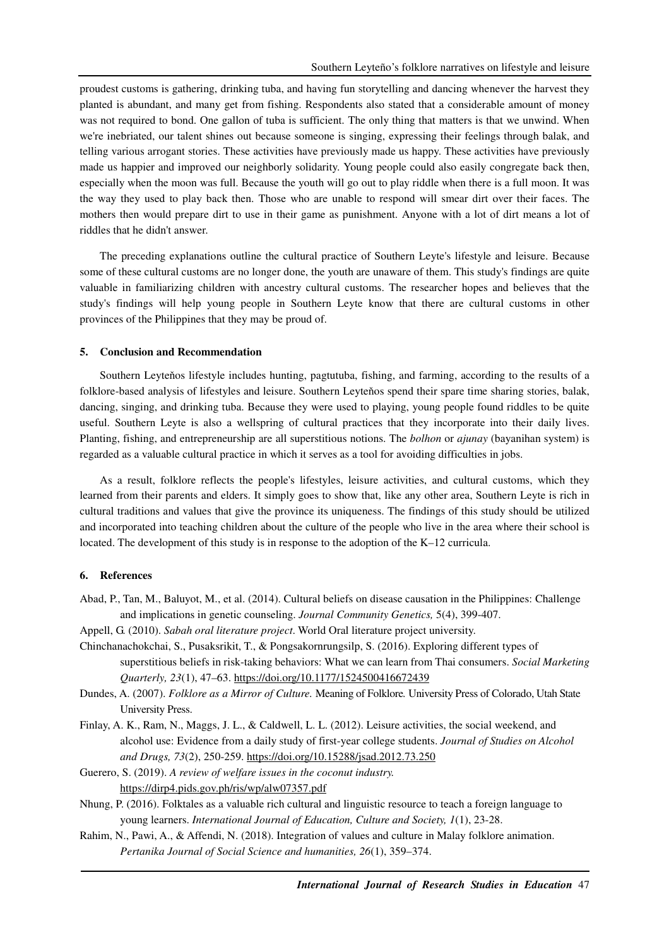proudest customs is gathering, drinking tuba, and having fun storytelling and dancing whenever the harvest they planted is abundant, and many get from fishing. Respondents also stated that a considerable amount of money was not required to bond. One gallon of tuba is sufficient. The only thing that matters is that we unwind. When we're inebriated, our talent shines out because someone is singing, expressing their feelings through balak, and telling various arrogant stories. These activities have previously made us happy. These activities have previously made us happier and improved our neighborly solidarity. Young people could also easily congregate back then, especially when the moon was full. Because the youth will go out to play riddle when there is a full moon. It was the way they used to play back then. Those who are unable to respond will smear dirt over their faces. The mothers then would prepare dirt to use in their game as punishment. Anyone with a lot of dirt means a lot of riddles that he didn't answer.

The preceding explanations outline the cultural practice of Southern Leyte's lifestyle and leisure. Because some of these cultural customs are no longer done, the youth are unaware of them. This study's findings are quite valuable in familiarizing children with ancestry cultural customs. The researcher hopes and believes that the study's findings will help young people in Southern Leyte know that there are cultural customs in other provinces of the Philippines that they may be proud of.

#### **5. Conclusion and Recommendation**

Southern Leyteňos lifestyle includes hunting, pagtutuba, fishing, and farming, according to the results of a folklore-based analysis of lifestyles and leisure. Southern Leyteňos spend their spare time sharing stories, balak, dancing, singing, and drinking tuba. Because they were used to playing, young people found riddles to be quite useful. Southern Leyte is also a wellspring of cultural practices that they incorporate into their daily lives. Planting, fishing, and entrepreneurship are all superstitious notions. The *bolhon* or *ajunay* (bayanihan system) is regarded as a valuable cultural practice in which it serves as a tool for avoiding difficulties in jobs.

As a result, folklore reflects the people's lifestyles, leisure activities, and cultural customs, which they learned from their parents and elders. It simply goes to show that, like any other area, Southern Leyte is rich in cultural traditions and values that give the province its uniqueness. The findings of this study should be utilized and incorporated into teaching children about the culture of the people who live in the area where their school is located. The development of this study is in response to the adoption of the K–12 curricula.

#### **6. References**

- Abad, P., Tan, M., Baluyot, M., et al. (2014). Cultural beliefs on disease causation in the Philippines: Challenge and implications in genetic counseling. *Journal Community Genetics,* 5(4), 399-407.
- Appell, G. (2010). *Sabah oral literature project*. World Oral literature project university.
- Chinchanachokchai, S., Pusaksrikit, T., & Pongsakornrungsilp, S. (2016). Exploring different types of superstitious beliefs in risk-taking behaviors: What we can learn from Thai consumers. *Social Marketing Quarterly, 23*(1), 47–63. https://doi.org/10.1177/1524500416672439
- Dundes, A. (2007). *Folklore as a Mirror of Culture.* Meaning of Folklore*.* University Press of Colorado, Utah State University Press.
- Finlay, A. K., Ram, N., Maggs, J. L., & Caldwell, L. L. (2012). Leisure activities, the social weekend, and alcohol use: Evidence from a daily study of first-year college students. *Journal of Studies on Alcohol and Drugs, 73*(2), 250-259. https://doi.org/10.15288/jsad.2012.73.250

Guerero, S. (2019). *A review of welfare issues in the coconut industry.* https://dirp4.pids.gov.ph/ris/wp/alw07357.pdf

- Nhung, P. (2016). Folktales as a valuable rich cultural and linguistic resource to teach a foreign language to young learners. *International Journal of Education, Culture and Society, 1*(1), 23-28.
- Rahim, N., Pawi, A., & Affendi, N. (2018). Integration of values and culture in Malay folklore animation. *Pertanika Journal of Social Science and humanities, 26*(1), 359–374.